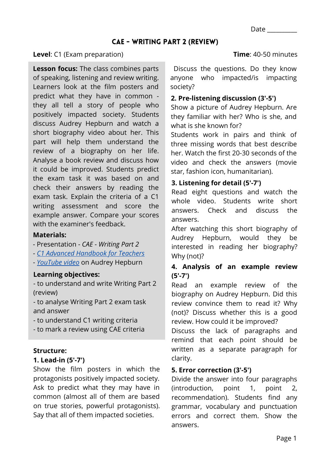#### **Level**: C1 (Exam preparation)

**Lesson focus:** The class combines parts of speaking, listening and review writing. Learners look at the film posters and predict what they have in common they all tell a story of people who positively impacted society. Students discuss Audrey Hepburn and watch a short biography video about her. This part will help them understand the review of a biography on her life. Analyse a book review and discuss how it could be improved. Students predict the exam task it was based on and check their answers by reading the exam task. Explain the criteria of a C1 writing assessment and score the example answer. Compare your scores with the examiner's feedback.

#### **Materials:**

- Presentation *CAE Writing Part 2*
- *[C1 Advanced Handbook for Teachers](https://www.cambridgeenglish.org/Images/167804-c1-advanced-handbook.pdf)*
- *[YouTube video](https://www.youtube.com/watch?v=qWD9tlXyI00&t=15s)* on Audrey Hepburn

# **Learning objectives:**

- to understand and write Writing Part 2 (review)

- to analyse Writing Part 2 exam task and answer

- to understand C1 writing criteria

- to mark a review using CAE criteria

# **Structure:**

#### **1. Lead-in (5'-7')**

Show the film posters in which the protagonists positively impacted society. Ask to predict what they may have in common (almost all of them are based on true stories, powerful protagonists). Say that all of them impacted societies.

#### **Time**: 40-50 minutes

Discuss the questions. Do they know anyone who impacted/is impacting society?

# **2. Pre-listening discussion (3'-5')**

Show a picture of Audrey Hepburn. Are they familiar with her? Who is she, and what is she known for?

Students work in pairs and think of three missing words that best describe her. Watch the first 20-30 seconds of the video and check the answers (movie star, fashion icon, humanitarian).

# **3. Listening for detail (5'-7')**

Read eight questions and watch the whole video. Students write short answers. Check and discuss the answers.

After watching this short biography of Audrey Hepburn, would they be interested in reading her biography? Why (not)?

# **4. Analysis of an example review (5'-7')**

Read an example review of the biography on Audrey Hepburn. Did this review convince them to read it? Why (not)? Discuss whether this is a good review. How could it be improved?

Discuss the lack of paragraphs and remind that each point should be written as a separate paragraph for clarity.

# **5. Error correction (3'-5')**

Divide the answer into four paragraphs (introduction, point 1, point 2, recommendation). Students find any grammar, vocabulary and punctuation errors and correct them. Show the answers.